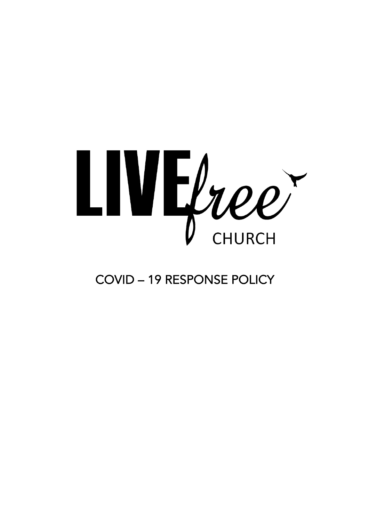

COVID – 19 RESPONSE POLICY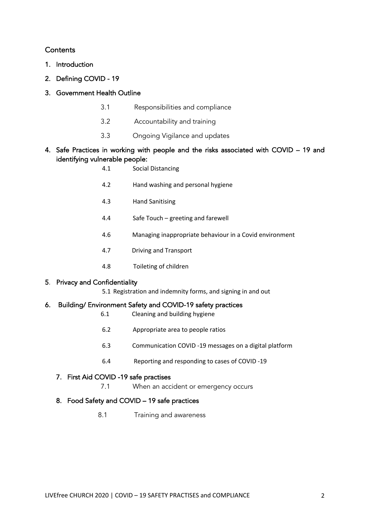### **Contents**

- 1. Introduction
- 2. Defining COVID 19
- 3. Government Health Outline
	- 3.1 Responsibilities and compliance
	- 3.2 Accountability and training
	- 3.3 Ongoing Vigilance and updates
- 4. Safe Practices in working with people and the risks associated with COVID 19 and identifying vulnerable people:

| 4.1 | Social Distancing                                       |
|-----|---------------------------------------------------------|
| 4.2 | Hand washing and personal hygiene                       |
| 4.3 | <b>Hand Sanitising</b>                                  |
| 4.4 | Safe Touch – greeting and farewell                      |
| 4.6 | Managing inappropriate behaviour in a Covid environment |
| 4.7 | Driving and Transport                                   |
| 4.8 | Toileting of children                                   |
|     |                                                         |

#### 5. Privacy and Confidentiality

5.1 Registration and indemnity forms, and signing in and out

#### 6. Building/ Environment Safety and COVID-19 safety practices

- 6.1 Cleaning and building hygiene
- 6.2 Appropriate area to people ratios
- 6.3 Communication COVID -19 messages on a digital platform
- 6.4 Reporting and responding to cases of COVID -19

#### 7. First Aid COVID -19 safe practises

7.1 When an accident or emergency occurs

#### 8. Food Safety and COVID – 19 safe practices

8.1 Training and awareness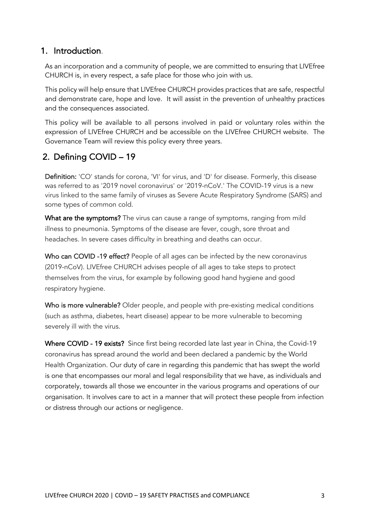## 1. Introduction.

As an incorporation and a community of people, we are committed to ensuring that LIVEfree CHURCH is, in every respect, a safe place for those who join with us.

This policy will help ensure that LIVEfree CHURCH provides practices that are safe, respectful and demonstrate care, hope and love. It will assist in the prevention of unhealthy practices and the consequences associated.

This policy will be available to all persons involved in paid or voluntary roles within the expression of LIVEfree CHURCH and be accessible on the LIVEfree CHURCH website. The Governance Team will review this policy every three years.

## 2. Defining COVID – 19

Definition: 'CO' stands for corona, 'VI' for virus, and 'D' for disease. Formerly, this disease was referred to as '2019 novel coronavirus' or '2019-nCoV.' The COVID-19 virus is a new virus linked to the same family of viruses as Severe Acute Respiratory Syndrome (SARS) and some types of common cold.

What are the symptoms? The virus can cause a range of symptoms, ranging from mild illness to pneumonia. Symptoms of the disease are fever, cough, sore throat and headaches. In severe cases difficulty in breathing and deaths can occur.

Who can COVID -19 effect? People of all ages can be infected by the new coronavirus (2019-nCoV). LIVEfree CHURCH advises people of all ages to take steps to protect themselves from the virus, for example by following good hand hygiene and good respiratory hygiene.

Who is more vulnerable? Older people, and people with pre-existing medical conditions (such as asthma, diabetes, heart disease) appear to be more vulnerable to becoming severely ill with the virus.

Where COVID - 19 exists? Since first being recorded late last year in China, the Covid-19 coronavirus has spread around the world and been declared a pandemic by the World Health Organization. Our duty of care in regarding this pandemic that has swept the world is one that encompasses our moral and legal responsibility that we have, as individuals and corporately, towards all those we encounter in the various programs and operations of our organisation. It involves care to act in a manner that will protect these people from infection or distress through our actions or negligence.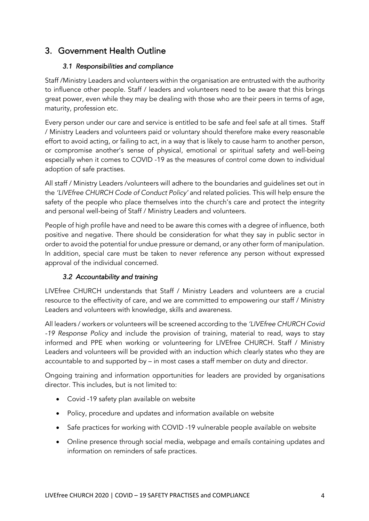## 3. Government Health Outline

#### *3.1 Responsibilities and compliance*

Staff /Ministry Leaders and volunteers within the organisation are entrusted with the authority to influence other people. Staff / leaders and volunteers need to be aware that this brings great power, even while they may be dealing with those who are their peers in terms of age, maturity, profession etc.

Every person under our care and service is entitled to be safe and feel safe at all times. Staff / Ministry Leaders and volunteers paid or voluntary should therefore make every reasonable effort to avoid acting, or failing to act, in a way that is likely to cause harm to another person, or compromise another's sense of physical, emotional or spiritual safety and well-being especially when it comes to COVID -19 as the measures of control come down to individual adoption of safe practises.

All staff / Ministry Leaders /volunteers will adhere to the boundaries and guidelines set out in the *'LIVEfree CHURCH Code of Conduct Policy'* and related policies. This will help ensure the safety of the people who place themselves into the church's care and protect the integrity and personal well-being of Staff / Ministry Leaders and volunteers.

People of high profile have and need to be aware this comes with a degree of influence, both positive and negative. There should be consideration for what they say in public sector in order to avoid the potential for undue pressure or demand, or any other form of manipulation. In addition, special care must be taken to never reference any person without expressed approval of the individual concerned.

## *3.2 Accountability and training*

LIVEfree CHURCH understands that Staff / Ministry Leaders and volunteers are a crucial resource to the effectivity of care, and we are committed to empowering our staff / Ministry Leaders and volunteers with knowledge, skills and awareness.

All leaders / workers or volunteers will be screened according to the *'LIVEfree CHURCH Covid -19 Response Policy* and include the provision of training, material to read, ways to stay informed and PPE when working or volunteering for LIVEfree CHURCH. Staff / Ministry Leaders and volunteers will be provided with an induction which clearly states who they are accountable to and supported by – in most cases a staff member on duty and director.

Ongoing training and information opportunities for leaders are provided by organisations director. This includes, but is not limited to:

- Covid -19 safety plan available on website
- Policy, procedure and updates and information available on website
- Safe practices for working with COVID -19 vulnerable people available on website
- Online presence through social media, webpage and emails containing updates and information on reminders of safe practices.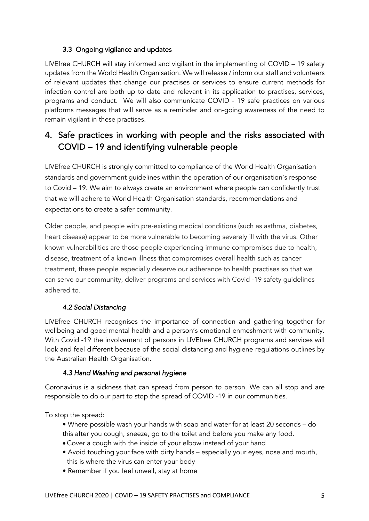## 3.3 Ongoing vigilance and updates

LIVEfree CHURCH will stay informed and vigilant in the implementing of COVID – 19 safety updates from the World Health Organisation. We will release / inform our staff and volunteers of relevant updates that change our practises or services to ensure current methods for infection control are both up to date and relevant in its application to practises, services, programs and conduct. We will also communicate COVID - 19 safe practices on various platforms messages that will serve as a reminder and on-going awareness of the need to remain vigilant in these practises.

# 4. Safe practices in working with people and the risks associated with COVID – 19 and identifying vulnerable people

LIVEfree CHURCH is strongly committed to compliance of the World Health Organisation standards and government guidelines within the operation of our organisation's response to Covid – 19. We aim to always create an environment where people can confidently trust that we will adhere to World Health Organisation standards, recommendations and expectations to create a safer community.

Older people, and people with pre-existing medical conditions (such as asthma, diabetes, heart disease) appear to be more vulnerable to becoming severely ill with the virus. Other known vulnerabilities are those people experiencing immune compromises due to health, disease, treatment of a known illness that compromises overall health such as cancer treatment, these people especially deserve our adherance to health practises so that we can serve our community, deliver programs and services with Covid -19 safety guidelines adhered to.

## *4.2 Social Distancing*

LIVEfree CHURCH recognises the importance of connection and gathering together for wellbeing and good mental health and a person's emotional enmeshment with community. With Covid -19 the involvement of persons in LIVEfree CHURCH programs and services will look and feel different because of the social distancing and hygiene regulations outlines by the Australian Health Organisation.

## *4.3 Hand Washing and personal hygiene*

Coronavirus is a sickness that can spread from person to person. We can all stop and are responsible to do our part to stop the spread of COVID -19 in our communities.

To stop the spread:

- Where possible wash your hands with soap and water for at least 20 seconds do this after you cough, sneeze, go to the toilet and before you make any food.
- Cover a cough with the inside of your elbow instead of your hand
- Avoid touching your face with dirty hands especially your eyes, nose and mouth, this is where the virus can enter your body
- Remember if you feel unwell, stay at home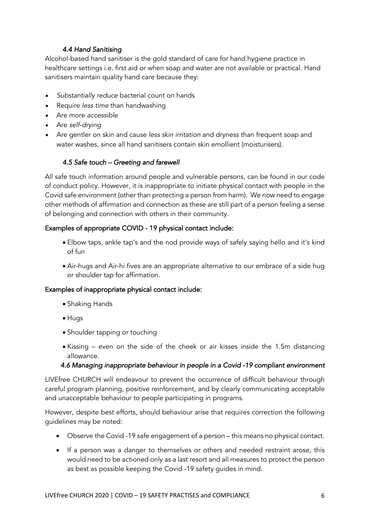## *4.4 Hand Sanitising*

Alcohol-based hand sanitiser is the gold standard of care for hand hygiene practice in healthcare settings i.e. first aid or when soap and water are not available or practical. Hand sanitisers maintain quality hand care because they:

- *Substantially reduce* bacterial count on hands
- Require *less time* than handwashing
- Are more *accessible*
- Are *self-drying*
- Are gentler on skin and cause *less skin irritation* and dryness than frequent soap and water washes, since all hand sanitisers contain skin emollient (moisturisers).

## *4.5 Safe touch – Greeting and farewell*

All safe touch information around people and vulnerable persons, can be found in our code of conduct policy. However, it is inappropriate to initiate physical contact with people in the Covid safe environment (other than protecting a person from harm). We now need to engage other methods of affirmation and connection as these are still part of a person feeling a sense of belonging and connection with others in their community.

## Examples of appropriate COVID - 19 physical contact include:

- Elbow taps, ankle tap's and the nod provide ways of safely saying hello and it's kind of fun
- Air-hugs and Air-hi fives are an appropriate alternative to our embrace of a side hug or shoulder tap for affirmation.

#### Examples of inappropriate physical contact include:

- Shaking Hands
- Hugs
- Shoulder tapping or touching
- Kissing even on the side of the cheek or air kisses inside the 1.5m distancing allowance.

#### *4.6 Managing inappropriate behaviour in people in a Covid -19 compliant environment*

LIVEfree CHURCH will endeavour to prevent the occurrence of difficult behaviour through careful program planning, positive reinforcement, and by clearly communicating acceptable and unacceptable behaviour to people participating in programs.

However, despite best efforts, should behaviour arise that requires correction the following guidelines may be noted:

- Observe the Covid -19 safe engagement of a person this means no physical contact.
- If a person was a danger to themselves or others and needed restraint arose, this would need to be actioned only as a last resort and all measures to protect the person as best as possible keeping the Covid -19 safety guides in mind.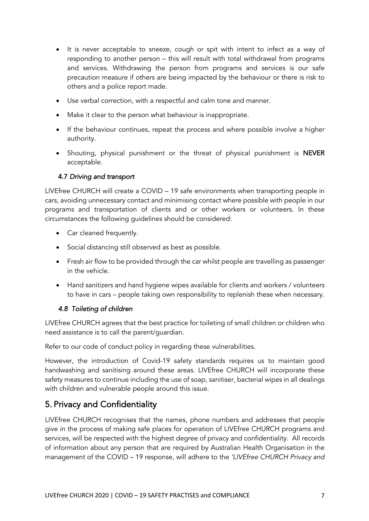- It is never acceptable to sneeze, cough or spit with intent to infect as a way of responding to another person – this will result with total withdrawal from programs and services. Withdrawing the person from programs and services is our safe precaution measure if others are being impacted by the behaviour or there is risk to others and a police report made.
- Use verbal correction, with a respectful and calm tone and manner.
- Make it clear to the person what behaviour is inappropriate.
- If the behaviour continues, repeat the process and where possible involve a higher authority.
- Shouting, physical punishment or the threat of physical punishment is NEVER acceptable.

### 4.7 *Driving and transport*

LIVEfree CHURCH will create a COVID – 19 safe environments when transporting people in cars, avoiding unnecessary contact and minimising contact where possible with people in our programs and transportation of clients and or other workers or volunteers. In these circumstances the following guidelines should be considered:

- Car cleaned frequently.
- Social distancing still observed as best as possible.
- Fresh air flow to be provided through the car whilst people are travelling as passenger in the vehicle.
- Hand sanitizers and hand hygiene wipes available for clients and workers / volunteers to have in cars – people taking own responsibility to replenish these when necessary.

## *4.8 Toileting of children*

LIVEfree CHURCH agrees that the best practice for toileting of small children or children who need assistance is to call the parent/guardian.

Refer to our code of conduct policy in regarding these vulnerabilities.

However, the introduction of Covid-19 safety standards requires us to maintain good handwashing and sanitising around these areas. LIVEfree CHURCH will incorporate these safety measures to continue including the use of soap, sanitiser, bacterial wipes in all dealings with children and vulnerable people around this issue.

## 5. Privacy and Confidentiality

LIVEfree CHURCH recognises that the names, phone numbers and addresses that people give in the process of making safe places for operation of LIVEfree CHURCH programs and services, will be respected with the highest degree of privacy and confidentiality. All records of information about any person that are required by Australian Health Organisation in the management of the COVID – 19 response, will adhere to the *'LIVEfree CHURCH Privacy and*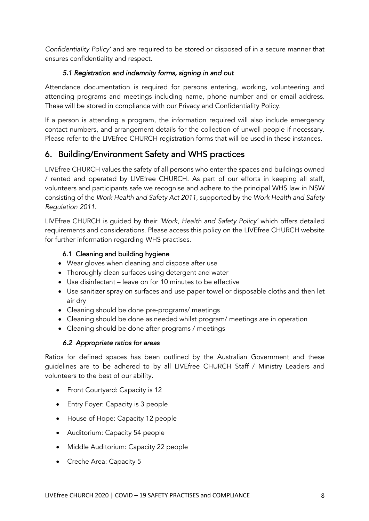*Confidentiality Policy'* and are required to be stored or disposed of in a secure manner that ensures confidentiality and respect.

### *5.1 Registration and indemnity forms, signing in and out*

Attendance documentation is required for persons entering, working, volunteering and attending programs and meetings including name, phone number and or email address. These will be stored in compliance with our Privacy and Confidentiality Policy.

If a person is attending a program, the information required will also include emergency contact numbers, and arrangement details for the collection of unwell people if necessary. Please refer to the LIVEfree CHURCH registration forms that will be used in these instances.

## 6. Building/Environment Safety and WHS practices

LIVEfree CHURCH values the safety of all persons who enter the spaces and buildings owned / rented and operated by LIVEfree CHURCH. As part of our efforts in keeping all staff, volunteers and participants safe we recognise and adhere to the principal WHS law in NSW consisting of the *Work Health and Safety Act 2011*, supported by the *Work Health and Safety Regulation 2011.*

LIVEfree CHURCH is guided by their *'Work, Health and Safety Policy'* which offers detailed requirements and considerations. Please access this policy on the LIVEfree CHURCH website for further information regarding WHS practises.

## 6.1 Cleaning and building hygiene

- Wear gloves when cleaning and dispose after use
- Thoroughly clean surfaces using detergent and water
- Use disinfectant leave on for 10 minutes to be effective
- Use sanitizer spray on surfaces and use paper towel or disposable cloths and then let air dry
- Cleaning should be done pre-programs/ meetings
- Cleaning should be done as needed whilst program/ meetings are in operation
- Cleaning should be done after programs / meetings

## *6.2 Appropriate ratios for areas*

Ratios for defined spaces has been outlined by the Australian Government and these guidelines are to be adhered to by all LIVEfree CHURCH Staff / Ministry Leaders and volunteers to the best of our ability.

- Front Courtyard: Capacity is 12
- Entry Foyer: Capacity is 3 people
- House of Hope: Capacity 12 people
- Auditorium: Capacity 54 people
- Middle Auditorium: Capacity 22 people
- Creche Area: Capacity 5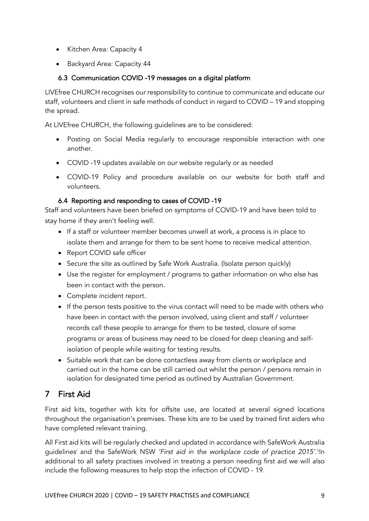- Kitchen Area: Capacity 4
- Backyard Area: Capacity 44

## 6.3 Communication COVID -19 messages on a digital platform

LIVEfree CHURCH recognises our responsibility to continue to communicate and educate our staff, volunteers and client in safe methods of conduct in regard to COVID – 19 and stopping the spread.

At LIVEfree CHURCH, the following guidelines are to be considered:

- Posting on Social Media regularly to encourage responsible interaction with one another.
- COVID -19 updates available on our website regularly or as needed
- COVID-19 Policy and procedure available on our website for both staff and volunteers.

### 6.4 Reporting and responding to cases of COVID -19

Staff and volunteers have been briefed on symptoms of COVID-19 and have been told to stay home if they aren't feeling well.

- If a staff or volunteer member becomes unwell at work, a process is in place to isolate them and arrange for them to be sent home to receive medical attention.
- Report COVID safe officer
- Secure the site as outlined by Safe Work Australia. (Isolate person quickly)
- Use the register for employment / programs to gather information on who else has been in contact with the person.
- Complete incident report.
- If the person tests positive to the virus contact will need to be made with others who have been in contact with the person involved, using client and staff / volunteer records call these people to arrange for them to be tested, closure of some programs or areas of business may need to be closed for deep cleaning and selfisolation of people while waiting for testing results.
- Suitable work that can be done contactless away from clients or workplace and carried out in the home can be still carried out whilst the person / persons remain in isolation for designated time period as outlined by Australian Government.

# 7 First Aid

First aid kits, together with kits for offsite use, are located at several signed locations throughout the organisation's premises. These kits are to be used by trained first aiders who have completed relevant training.

All First aid kits will be regularly checked and updated in accordance with SafeWork Australia guidelines<sup>i</sup> and the SafeWork NSW 'First aid in the workplace code of practice 2015'.<sup>i</sup>'In additional to all safety practises involved in treating a person needing first aid we will also include the following measures to help stop the infection of COVID - 19.